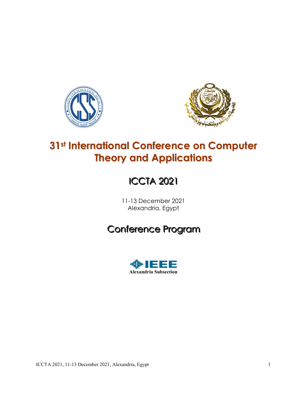



## 31st International Conference on Computer Theory and Applications

# **ICCTA 2021**

11-13 December 2021 Alexandria, Egypt

## Conference Program

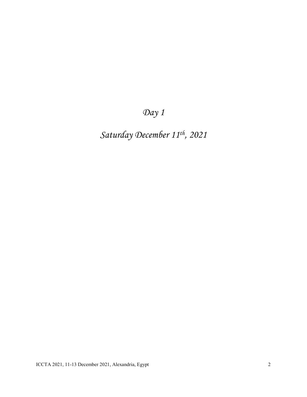Day 1

Saturday December 11th, 2021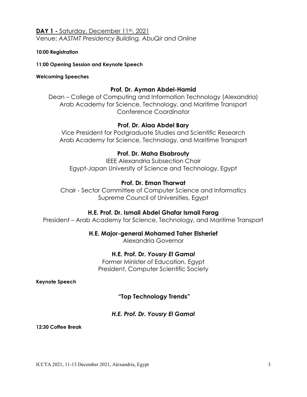## DAY 1 - Saturday, December 11<sup>th</sup>, 2021

Venue: AASTMT Presidency Building, AbuQir and Online

#### 10:00 Registration

11:00 Opening Session and Keynote Speech

#### Welcoming Speeches

#### Prof. Dr. Ayman Abdel-Hamid

Dean – College of Computing and Information Technology (Alexandria) Arab Academy for Science, Technology, and Maritime Transport Conference Coordinator

#### Prof. Dr. Alaa Abdel Bary

Vice President for Postgraduate Studies and Scientific Research Arab Academy for Science, Technology, and Maritime Transport

## Prof. Dr. Maha Elsabrouty

IEEE Alexandria Subsection Chair Egypt-Japan University of Science and Technology, Egypt

## Prof. Dr. Eman Tharwat

Chair - Sector Committee of Computer Science and Informatics Supreme Council of Universities, Egypt

#### H.E. Prof. Dr. Ismail Abdel Ghafar Ismail Farag

President – Arab Academy for Science, Technology, and Maritime Transport

#### H.E. Major-general Mohamed Taher Elsherief

Alexandria Governor

### H.E. Prof. Dr. Yousry El Gamal

Former Minister of Education, Egypt President, Computer Scientific Society

Keynote Speech

#### "Top Technology Trends"

#### H.E. Prof. Dr. Yousry El Gamal

12:30 Coffee Break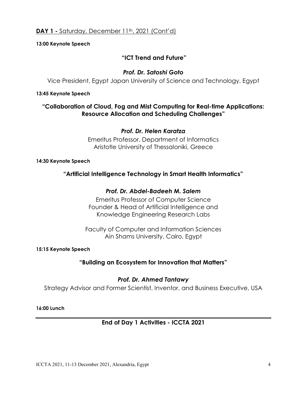13:00 Keynote Speech

## "ICT Trend and Future"

## Prof. Dr. Satoshi Goto

Vice President, Egypt Japan University of Science and Technology, Egypt

#### 13:45 Keynote Speech

## "Collaboration of Cloud, Fog and Mist Computing for Real-time Applications: Resource Allocation and Scheduling Challenges"

## Prof. Dr. Helen Karatza

Emeritus Professor, Department of Informatics Aristotle University of Thessaloniki, Greece

#### 14:30 Keynote Speech

## "Artificial Intelligence Technology in Smart Health Informatics"

## Prof. Dr. Abdel-Badeeh M. Salem

Emeritus Professor of Computer Science Founder & Head of Artificial Intelligence and Knowledge Engineering Research Labs

Faculty of Computer and Information Sciences Ain Shams University, Cairo, Egypt

15:15 Keynote Speech

## "Building an Ecosystem for Innovation that Matters"

## Prof. Dr. Ahmed Tantawy

Strategy Advisor and Former Scientist, Inventor, and Business Executive, USA

#### 16:00 Lunch

## End of Day 1 Activities - ICCTA 2021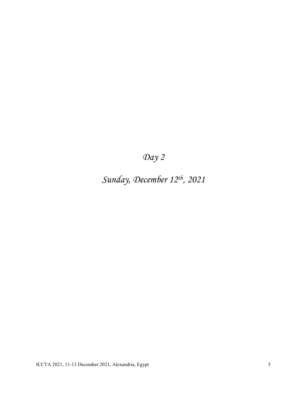## Day 2

Sunday, December 12th, 2021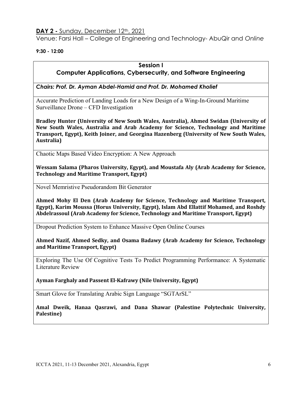### DAY 2 - Sunday, December 12<sup>th</sup>, 2021

Venue: Farsi Hall – College of Engineering and Technology- AbuQir and Online

9:30 - 12:00

#### Session I

## Computer Applications, Cybersecurity, and Software Engineering

Chairs: Prof. Dr. Ayman Abdel-Hamid and Prof. Dr. Mohamed Kholief

Accurate Prediction of Landing Loads for a New Design of a Wing-In-Ground Maritime Surveillance Drone – CFD Investigation

Bradley Hunter (University of New South Wales, Australia), Ahmed Swidan (University of New South Wales, Australia and Arab Academy for Science, Technology and Maritime Transport, Egypt), Keith Joiner, and Georgina Hazenberg (University of New South Wales, Australia)

Chaotic Maps Based Video Encryption: A New Approach

Wessam Salama (Pharos University, Egypt), and Moustafa Aly (Arab Academy for Science, Technology and Maritime Transport, Egypt)

Novel Memristive Pseudorandom Bit Generator

Ahmed Mohy El Den (Arab Academy for Science, Technology and Maritime Transport, Egypt), Karim Moussa (Horus University, Egypt), Islam Abd Ellattif Mohamed, and Roshdy Abdelrassoul (Arab Academy for Science, Technology and Maritime Transport, Egypt)

Dropout Prediction System to Enhance Massive Open Online Courses

Ahmed Nazif, Ahmed Sedky, and Osama Badawy (Arab Academy for Science, Technology and Maritime Transport, Egypt)

Exploring The Use Of Cognitive Tests To Predict Programming Performance: A Systematic Literature Review

Ayman Farghaly and Passent El-Kafrawy (Nile University, Egypt)

Smart Glove for Translating Arabic Sign Language "SGTArSL"

Amal Dweik, Hanaa Qasrawi, and Dana Shawar (Palestine Polytechnic University, Palestine)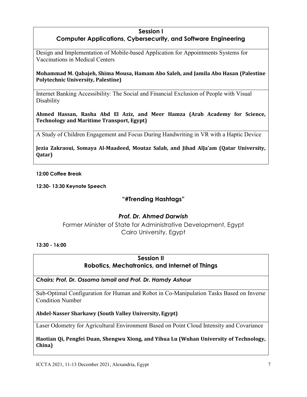#### Session I

## Computer Applications, Cybersecurity, and Software Engineering

Design and Implementation of Mobile-based Application for Appointments Systems for Vaccinations in Medical Centers

#### Mohammad M. Qabajeh, Shima Mousa, Hamam Abo Saleh, and Jamila Abo Hasan (Palestine Polytechnic University, Palestine)

Internet Banking Accessibility: The Social and Financial Exclusion of People with Visual Disability

Ahmed Hassan, Rasha Abd El Aziz, and Meer Hamza (Arab Academy for Science, Technology and Maritime Transport, Egypt)

A Study of Children Engagement and Focus During Handwriting in VR with a Haptic Device

Jezia Zakraoui, Somaya Al-Maadeed, Moutaz Salah, and Jihad AlJa'am (Qatar University, Qatar)

#### 12:00 Coffee Break

12:30- 13:30 Keynote Speech

## "#Trending Hashtags"

## Prof. Dr. Ahmed Darwish

Former Minister of State for Administrative Development, Egypt Cairo University, Egypt

13:30 - 16:00

## Session II Robotics, Mechatronics, and Internet of Things

Chairs: Prof. Dr. Ossama Ismail and Prof. Dr. Hamdy Ashour

Sub-Optimal Configuration for Human and Robot in Co-Manipulation Tasks Based on Inverse Condition Number

Abdel-Nasser Sharkawy (South Valley University, Egypt)

Laser Odometry for Agricultural Environment Based on Point Cloud Intensity and Covariance

Haotian Qi, Pengfei Duan, Shengwu Xiong, and Yihua Lu (Wuhan University of Technology, China)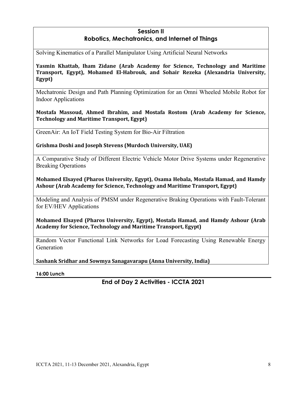## Session II Robotics, Mechatronics, and Internet of Things

Solving Kinematics of a Parallel Manipulator Using Artificial Neural Networks

Yasmin Khattab, Iham Zidane (Arab Academy for Science, Technology and Maritime Transport, Egypt), Mohamed El-Habrouk, and Sohair Rezeka (Alexandria University, Egypt)

Mechatronic Design and Path Planning Optimization for an Omni Wheeled Mobile Robot for Indoor Applications

Mostafa Massoud, Ahmed Ibrahim, and Mostafa Rostom (Arab Academy for Science, Technology and Maritime Transport, Egypt)

GreenAir: An IoT Field Testing System for Bio-Air Filtration

Grishma Doshi and Joseph Stevens (Murdoch University, UAE)

A Comparative Study of Different Electric Vehicle Motor Drive Systems under Regenerative Breaking Operations

Mohamed Elsayed (Pharos University, Egypt), Osama Hebala, Mostafa Hamad, and Hamdy Ashour (Arab Academy for Science, Technology and Maritime Transport, Egypt)

Modeling and Analysis of PMSM under Regenerative Braking Operations with Fault-Tolerant for EV/HEV Applications

Mohamed Elsayed (Pharos University, Egypt), Mostafa Hamad, and Hamdy Ashour (Arab Academy for Science, Technology and Maritime Transport, Egypt)

Random Vector Functional Link Networks for Load Forecasting Using Renewable Energy Generation

Sashank Sridhar and Sowmya Sanagavarapu (Anna University, India)

16:00 Lunch

End of Day 2 Activities - ICCTA 2021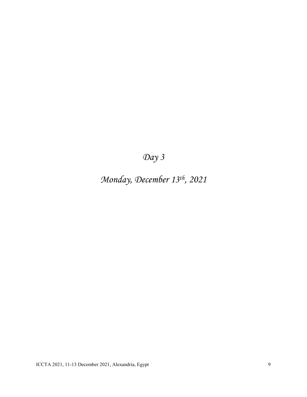# Day 3

# Monday, December 13th, 2021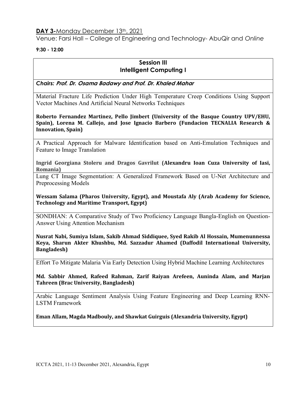#### DAY 3-Monday December 13th, 2021

Venue: Farsi Hall – College of Engineering and Technology- AbuQir and Online

#### 9:30 - 12:00

#### Session III Intelligent Computing I

Chairs: Prof. Dr. Osama Badawy and Prof. Dr. Khaled Mahar

Material Fracture Life Prediction Under High Temperature Creep Conditions Using Support Vector Machines And Artificial Neural Networks Techniques

Roberto Fernandez Martinez, Pello Jimbert (University of the Basque Country UPV/EHU, Spain), Lorena M. Callejo, and Jose Ignacio Barbero (Fundacion TECNALIA Research & Innovation, Spain)

A Practical Approach for Malware Identification based on Anti-Emulation Techniques and Feature to Image Translation

Ingrid Georgiana Stoleru and Dragos Gavrilut (Alexandru Ioan Cuza University of Iasi, Romania)

Lung CT Image Segmentation: A Generalized Framework Based on U-Net Architecture and Preprocessing Models

Wessam Salama (Pharos University, Egypt), and Moustafa Aly (Arab Academy for Science, Technology and Maritime Transport, Egypt)

SONDHAN: A Comparative Study of Two Proficiency Language Bangla-English on Question-Answer Using Attention Mechanism

Nusrat Nabi, Sumiya Islam, Sakib Ahmad Siddiquee, Syed Rakib Al Hossain, Mumenunnessa Keya, Sharun Akter Khushbu, Md. Sazzadur Ahamed (Daffodil International University, Bangladesh)

Effort To Mitigate Malaria Via Early Detection Using Hybrid Machine Learning Architectures

Md. Sabbir Ahmed, Rafeed Rahman, Zarif Raiyan Arefeen, Auninda Alam, and Marjan Tahreen (Brac University, Bangladesh)

Arabic Language Sentiment Analysis Using Feature Engineering and Deep Learning RNN-LSTM Framework

Eman Allam, Magda Madbouly, and Shawkat Guirguis (Alexandria University, Egypt)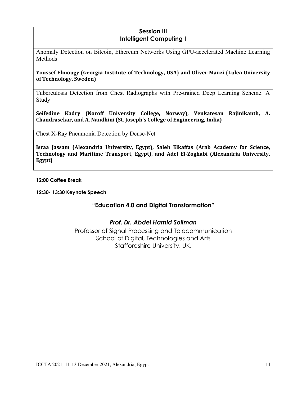## Session III Intelligent Computing I

Anomaly Detection on Bitcoin, Ethereum Networks Using GPU-accelerated Machine Learning **Methods** 

#### Youssef Elmougy (Georgia Institute of Technology, USA) and Oliver Manzi (Lulea University of Technology, Sweden)

Tuberculosis Detection from Chest Radiographs with Pre-trained Deep Learning Scheme: A Study

Seifedine Kadry (Noroff University College, Norway), Venkatesan Rajinikanth, A. Chandrasekar, and A. Nandhini (St. Joseph's College of Engineering, India)

Chest X-Ray Pneumonia Detection by Dense-Net

Israa Jassam (Alexandria University, Egypt), Saleh Elkaffas (Arab Academy for Science, Technology and Maritime Transport, Egypt), and Adel El-Zoghabi (Alexandria University, Egypt)

12:00 Coffee Break

12:30- 13:30 Keynote Speech

#### "Education 4.0 and Digital Transformation"

#### Prof. Dr. Abdel Hamid Soliman

Professor of Signal Processing and Telecommunication School of Digital, Technologies and Arts Staffordshire University, UK.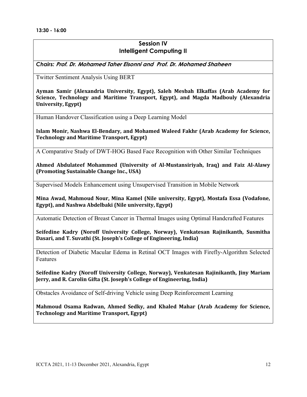## Session IV Intelligent Computing II

Chairs: Prof. Dr. Mohamed Taher Elsonni and Prof. Dr. Mohamed Shaheen

Twitter Sentiment Analysis Using BERT

Ayman Samir (Alexandria University, Egypt), Saleh Mesbah Elkaffas (Arab Academy for Science, Technology and Maritime Transport, Egypt), and Magda Madbouly (Alexandria University, Egypt)

Human Handover Classification using a Deep Learning Model

Islam Monir, Nashwa El-Bendary, and Mohamed Waleed Fakhr (Arab Academy for Science, Technology and Maritime Transport, Egypt)

A Comparative Study of DWT-HOG Based Face Recognition with Other Similar Techniques

Ahmed Abdulateef Mohammed (University of Al-Mustansiriyah, Iraq) and Faiz Al-Alawy (Promoting Sustainable Change Inc., USA)

Supervised Models Enhancement using Unsupervised Transition in Mobile Network

Mina Awad, Mahmoud Nour, Mina Kamel (Nile university, Egypt), Mostafa Essa (Vodafone, Egypt), and Nashwa Abdelbaki (Nile university, Egypt)

Automatic Detection of Breast Cancer in Thermal Images using Optimal Handcrafted Features

Seifedine Kadry (Noroff University College, Norway), Venkatesan Rajinikanth, Susmitha Dasari, and T. Suvathi (St. Joseph's College of Engineering, India)

Detection of Diabetic Macular Edema in Retinal OCT Images with Firefly-Algorithm Selected Features

Seifedine Kadry (Noroff University College, Norway), Venkatesan Rajinikanth, Jiny Mariam Jerry, and R. Carolin Gifta (St. Joseph's College of Engineering, India)

Obstacles Avoidance of Self-driving Vehicle using Deep Reinforcement Learning

Mahmoud Osama Radwan, Ahmed Sedky, and Khaled Mahar (Arab Academy for Science, Technology and Maritime Transport, Egypt)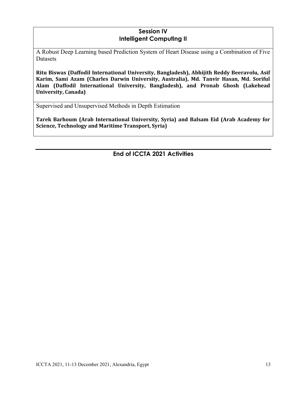## Session IV Intelligent Computing II

A Robust Deep Learning based Prediction System of Heart Disease using a Combination of Five Datasets

Ritu Biswas (Daffodil International University, Bangladesh), Abhijith Reddy Beeravolu, Asif Karim, Sami Azam (Charles Darwin University, Australia), Md. Tanvir Hasan, Md. Soriful Alam (Daffodil International University, Bangladesh), and Pronab Ghosh (Lakehead University, Canada)

Supervised and Unsupervised Methods in Depth Estimation

Tarek Barhoum (Arab International University, Syria) and Balsam Eid (Arab Academy for Science, Technology and Maritime Transport, Syria)

End of ICCTA 2021 Activities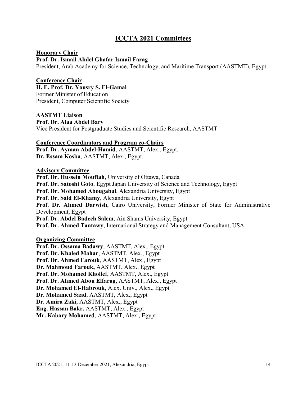## ICCTA 2021 Committees

#### Honorary Chair

Prof. Dr. Ismail Abdel Ghafar Ismail Farag President, Arab Academy for Science, Technology, and Maritime Transport (AASTMT), Egypt

#### Conference Chair

H. E. Prof. Dr. Yousry S. El-Gamal Former Minister of Education President, Computer Scientific Society

AASTMT Liaison Prof. Dr. Alaa Abdel Bary Vice President for Postgraduate Studies and Scientific Research, AASTMT

#### Conference Coordinators and Program co-Chairs

Prof. Dr. Ayman Abdel-Hamid, AASTMT, Alex., Egypt. Dr. Essam Kosba, AASTMT, Alex., Egypt.

#### Advisory Committee

Prof. Dr. Hussein Mouftah, University of Ottawa, Canada Prof. Dr. Satoshi Goto, Egypt Japan University of Science and Technology, Egypt Prof. Dr. Mohamed Abougabal, Alexandria University, Egypt Prof. Dr. Said El-Khamy, Alexandria University, Egypt Prof. Dr. Ahmed Darwish, Cairo University, Former Minister of State for Administrative Development, Egypt Prof. Dr. Abdel Badeeh Salem, Ain Shams University, Egypt Prof. Dr. Ahmed Tantawy, International Strategy and Management Consultant, USA

#### Organizing Committee

Prof. Dr. Ossama Badawy, AASTMT, Alex., Egypt Prof. Dr. Khaled Mahar, AASTMT, Alex., Egypt Prof. Dr. Ahmed Farouk, AASTMT, Alex., Egypt Dr. Mahmoud Farouk, AASTMT, Alex., Egypt Prof. Dr. Mohamed Kholief, AASTMT, Alex., Egypt Prof. Dr. Ahmed Abou Elfarag, AASTMT, Alex., Egypt Dr. Mohamed El-Habrouk, Alex. Univ., Alex., Egypt Dr. Mohamed Saad, AASTMT, Alex., Egypt Dr. Amira Zaki, AASTMT, Alex., Egypt Eng. Hassan Bakr, AASTMT, Alex., Egypt Mr. Kabary Mohamed, AASTMT, Alex., Egypt